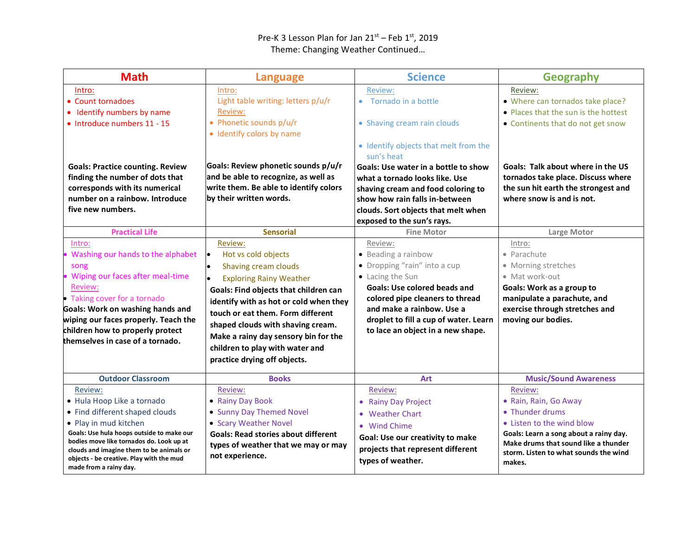## Pre-K 3 Lesson Plan for Jan  $21^{st}$  – Feb  $1^{st}$ , 2019 Theme: Changing Weather Continued…

| <b>Math</b>                                                                                                                                                                                                                                                                                                 | <b>Language</b>                                                                                                                                                                                                                                                                                                                                                        | <b>Science</b>                                                                                                                                                                                                                                                          | <b>Geography</b>                                                                                                                                                                                                      |
|-------------------------------------------------------------------------------------------------------------------------------------------------------------------------------------------------------------------------------------------------------------------------------------------------------------|------------------------------------------------------------------------------------------------------------------------------------------------------------------------------------------------------------------------------------------------------------------------------------------------------------------------------------------------------------------------|-------------------------------------------------------------------------------------------------------------------------------------------------------------------------------------------------------------------------------------------------------------------------|-----------------------------------------------------------------------------------------------------------------------------------------------------------------------------------------------------------------------|
| Intro:<br>• Count tornadoes<br>Identify numbers by name<br>٠<br>· Introduce numbers 11 - 15                                                                                                                                                                                                                 | Intro:<br>Light table writing: letters p/u/r<br>Review:<br>• Phonetic sounds p/u/r<br>• Identify colors by name                                                                                                                                                                                                                                                        | <b>Review:</b><br>• Tornado in a bottle<br>• Shaving cream rain clouds<br>• Identify objects that melt from the                                                                                                                                                         | Review:<br>• Where can tornados take place?<br>• Places that the sun is the hottest<br>• Continents that do not get snow                                                                                              |
| <b>Goals: Practice counting. Review</b><br>finding the number of dots that<br>corresponds with its numerical<br>number on a rainbow. Introduce<br>five new numbers.                                                                                                                                         | Goals: Review phonetic sounds p/u/r<br>and be able to recognize, as well as<br>write them. Be able to identify colors<br>by their written words.                                                                                                                                                                                                                       | sun's heat<br>Goals: Use water in a bottle to show<br>what a tornado looks like. Use<br>shaving cream and food coloring to<br>show how rain falls in-between<br>clouds. Sort objects that melt when<br>exposed to the sun's rays.                                       | Goals: Talk about where in the US<br>tornados take place. Discuss where<br>the sun hit earth the strongest and<br>where snow is and is not.                                                                           |
| <b>Practical Life</b>                                                                                                                                                                                                                                                                                       | <b>Sensorial</b>                                                                                                                                                                                                                                                                                                                                                       | <b>Fine Motor</b>                                                                                                                                                                                                                                                       | Large Motor                                                                                                                                                                                                           |
| Intro:<br>Washing our hands to the alphabet<br>song<br>Wiping our faces after meal-time<br>Review:<br>• Taking cover for a tornado<br>Goals: Work on washing hands and<br>wiping our faces properly. Teach the<br>children how to properly protect<br>themselves in case of a tornado.                      | Review:<br>Hot vs cold objects<br>lo<br>Shaving cream clouds<br><b>Exploring Rainy Weather</b><br>Goals: Find objects that children can<br>identify with as hot or cold when they<br>touch or eat them. Form different<br>shaped clouds with shaving cream.<br>Make a rainy day sensory bin for the<br>children to play with water and<br>practice drying off objects. | Review:<br>• Beading a rainbow<br>• Dropping "rain" into a cup<br>• Lacing the Sun<br><b>Goals: Use colored beads and</b><br>colored pipe cleaners to thread<br>and make a rainbow. Use a<br>droplet to fill a cup of water. Learn<br>to lace an object in a new shape. | Intro:<br>• Parachute<br>• Morning stretches<br>• Mat work-out<br>Goals: Work as a group to<br>manipulate a parachute, and<br>exercise through stretches and<br>moving our bodies.                                    |
| <b>Outdoor Classroom</b>                                                                                                                                                                                                                                                                                    | <b>Books</b>                                                                                                                                                                                                                                                                                                                                                           | <b>Art</b>                                                                                                                                                                                                                                                              | <b>Music/Sound Awareness</b>                                                                                                                                                                                          |
| Review:<br>· Hula Hoop Like a tornado<br>• Find different shaped clouds<br>• Play in mud kitchen<br>Goals: Use hula hoops outside to make our<br>bodies move like tornados do. Look up at<br>clouds and imagine them to be animals or<br>objects - be creative. Play with the mud<br>made from a rainy day. | Review:<br>• Rainy Day Book<br>• Sunny Day Themed Novel<br>• Scary Weather Novel<br><b>Goals: Read stories about different</b><br>types of weather that we may or may<br>not experience.                                                                                                                                                                               | Review:<br>• Rainy Day Project<br>• Weather Chart<br>• Wind Chime<br>Goal: Use our creativity to make<br>projects that represent different<br>types of weather.                                                                                                         | Review:<br>• Rain, Rain, Go Away<br>• Thunder drums<br>• Listen to the wind blow<br>Goals: Learn a song about a rainy day.<br>Make drums that sound like a thunder<br>storm. Listen to what sounds the wind<br>makes. |